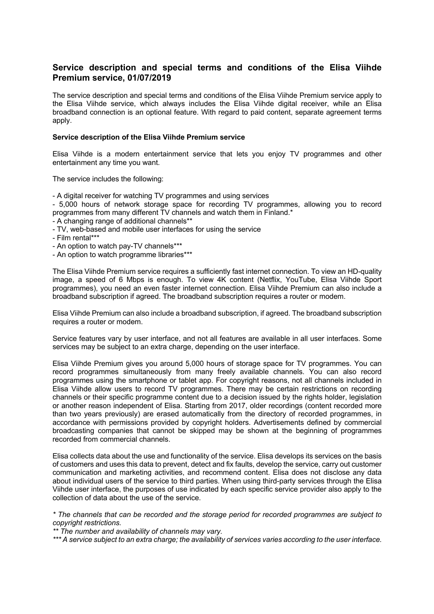# **Service description and special terms and conditions of the Elisa Viihde Premium service, 01/07/2019**

The service description and special terms and conditions of the Elisa Viihde Premium service apply to the Elisa Viihde service, which always includes the Elisa Viihde digital receiver, while an Elisa broadband connection is an optional feature. With regard to paid content, separate agreement terms apply.

### **Service description of the Elisa Viihde Premium service**

Elisa Viihde is a modern entertainment service that lets you enjoy TV programmes and other entertainment any time you want.

The service includes the following:

- A digital receiver for watching TV programmes and using services

- 5,000 hours of network storage space for recording TV programmes, allowing you to record programmes from many different TV channels and watch them in Finland.\*

- A changing range of additional channels\*\*
- TV, web-based and mobile user interfaces for using the service
- Film rental\*\*\*
- An option to watch pay-TV channels\*\*\*
- An option to watch programme libraries\*\*\*

The Elisa Viihde Premium service requires a sufficiently fast internet connection. To view an HD-quality image, a speed of 6 Mbps is enough. To view 4K content (Netflix, YouTube, Elisa Viihde Sport programmes), you need an even faster internet connection. Elisa Viihde Premium can also include a broadband subscription if agreed. The broadband subscription requires a router or modem.

Elisa Viihde Premium can also include a broadband subscription, if agreed. The broadband subscription requires a router or modem.

Service features vary by user interface, and not all features are available in all user interfaces. Some services may be subject to an extra charge, depending on the user interface.

Elisa Viihde Premium gives you around 5,000 hours of storage space for TV programmes. You can record programmes simultaneously from many freely available channels. You can also record programmes using the smartphone or tablet app. For copyright reasons, not all channels included in Elisa Viihde allow users to record TV programmes. There may be certain restrictions on recording channels or their specific programme content due to a decision issued by the rights holder, legislation or another reason independent of Elisa. Starting from 2017, older recordings (content recorded more than two years previously) are erased automatically from the directory of recorded programmes, in accordance with permissions provided by copyright holders. Advertisements defined by commercial broadcasting companies that cannot be skipped may be shown at the beginning of programmes recorded from commercial channels.

Elisa collects data about the use and functionality of the service. Elisa develops its services on the basis of customers and uses this data to prevent, detect and fix faults, develop the service, carry out customer communication and marketing activities, and recommend content. Elisa does not disclose any data about individual users of the service to third parties. When using third-party services through the Elisa Viihde user interface, the purposes of use indicated by each specific service provider also apply to the collection of data about the use of the service.

*\* The channels that can be recorded and the storage period for recorded programmes are subject to copyright restrictions.*

*\*\* The number and availability of channels may vary.*

*\*\*\* A service subject to an extra charge; the availability of services varies according to the user interface.*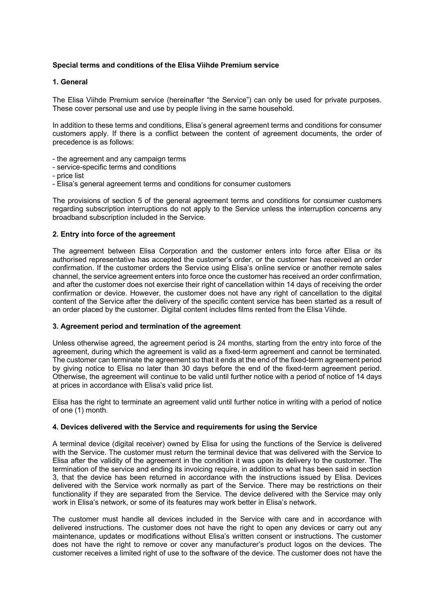# **Special terms and conditions of the Elisa Viihde Premium service**

### **1. General**

The Elisa Viihde Premium service (hereinafter "the Service") can only be used for private purposes. These cover personal use and use by people living in the same household.

In addition to these terms and conditions, Elisa's general agreement terms and conditions for consumer customers apply. If there is a conflict between the content of agreement documents, the order of precedence is as follows:

- the agreement and any campaign terms
- service-specific terms and conditions
- price list
- Elisa's general agreement terms and conditions for consumer customers

The provisions of section 5 of the general agreement terms and conditions for consumer customers regarding subscription interruptions do not apply to the Service unless the interruption concerns any broadband subscription included in the Service.

### **2. Entry into force of the agreement**

The agreement between Elisa Corporation and the customer enters into force after Elisa or its authorised representative has accepted the customer's order, or the customer has received an order confirmation. If the customer orders the Service using Elisa's online service or another remote sales channel, the service agreement enters into force once the customer has received an order confirmation, and after the customer does not exercise their right of cancellation within 14 days of receiving the order confirmation or device. However, the customer does not have any right of cancellation to the digital content of the Service after the delivery of the specific content service has been started as a result of an order placed by the customer. Digital content includes films rented from the Elisa Viihde.

### **3. Agreement period and termination of the agreement**

Unless otherwise agreed, the agreement period is 24 months, starting from the entry into force of the agreement, during which the agreement is valid as a fixed-term agreement and cannot be terminated. The customer can terminate the agreement so that it ends at the end of the fixed-term agreement period by giving notice to Elisa no later than 30 days before the end of the fixed-term agreement period. Otherwise, the agreement will continue to be valid until further notice with a period of notice of 14 days at prices in accordance with Elisa's valid price list.

Elisa has the right to terminate an agreement valid until further notice in writing with a period of notice of one (1) month.

### **4. Devices delivered with the Service and requirements for using the Service**

A terminal device (digital receiver) owned by Elisa for using the functions of the Service is delivered with the Service. The customer must return the terminal device that was delivered with the Service to Elisa after the validity of the agreement in the condition it was upon its delivery to the customer. The termination of the service and ending its invoicing require, in addition to what has been said in section 3, that the device has been returned in accordance with the instructions issued by Elisa. Devices delivered with the Service work normally as part of the Service. There may be restrictions on their functionality if they are separated from the Service. The device delivered with the Service may only work in Elisa's network, or some of its features may work better in Elisa's network.

The customer must handle all devices included in the Service with care and in accordance with delivered instructions. The customer does not have the right to open any devices or carry out any maintenance, updates or modifications without Elisa's written consent or instructions. The customer does not have the right to remove or cover any manufacturer's product logos on the devices. The customer receives a limited right of use to the software of the device. The customer does not have the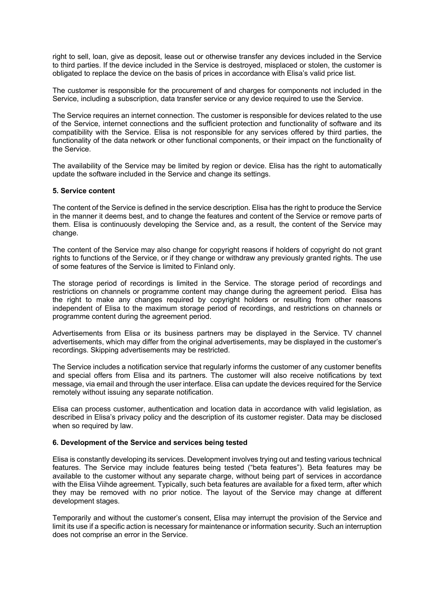right to sell, loan, give as deposit, lease out or otherwise transfer any devices included in the Service to third parties. If the device included in the Service is destroyed, misplaced or stolen, the customer is obligated to replace the device on the basis of prices in accordance with Elisa's valid price list.

The customer is responsible for the procurement of and charges for components not included in the Service, including a subscription, data transfer service or any device required to use the Service.

The Service requires an internet connection. The customer is responsible for devices related to the use of the Service, internet connections and the sufficient protection and functionality of software and its compatibility with the Service. Elisa is not responsible for any services offered by third parties, the functionality of the data network or other functional components, or their impact on the functionality of the Service.

The availability of the Service may be limited by region or device. Elisa has the right to automatically update the software included in the Service and change its settings.

### **5. Service content**

The content of the Service is defined in the service description. Elisa has the right to produce the Service in the manner it deems best, and to change the features and content of the Service or remove parts of them. Elisa is continuously developing the Service and, as a result, the content of the Service may change.

The content of the Service may also change for copyright reasons if holders of copyright do not grant rights to functions of the Service, or if they change or withdraw any previously granted rights. The use of some features of the Service is limited to Finland only.

The storage period of recordings is limited in the Service. The storage period of recordings and restrictions on channels or programme content may change during the agreement period. Elisa has the right to make any changes required by copyright holders or resulting from other reasons independent of Elisa to the maximum storage period of recordings, and restrictions on channels or programme content during the agreement period.

Advertisements from Elisa or its business partners may be displayed in the Service. TV channel advertisements, which may differ from the original advertisements, may be displayed in the customer's recordings. Skipping advertisements may be restricted.

The Service includes a notification service that regularly informs the customer of any customer benefits and special offers from Elisa and its partners. The customer will also receive notifications by text message, via email and through the user interface. Elisa can update the devices required for the Service remotely without issuing any separate notification.

Elisa can process customer, authentication and location data in accordance with valid legislation, as described in Elisa's privacy policy and the description of its customer register. Data may be disclosed when so required by law.

# **6. Development of the Service and services being tested**

Elisa is constantly developing its services. Development involves trying out and testing various technical features. The Service may include features being tested ("beta features"). Beta features may be available to the customer without any separate charge, without being part of services in accordance with the Elisa Viihde agreement. Typically, such beta features are available for a fixed term, after which they may be removed with no prior notice. The layout of the Service may change at different development stages.

Temporarily and without the customer's consent, Elisa may interrupt the provision of the Service and limit its use if a specific action is necessary for maintenance or information security. Such an interruption does not comprise an error in the Service.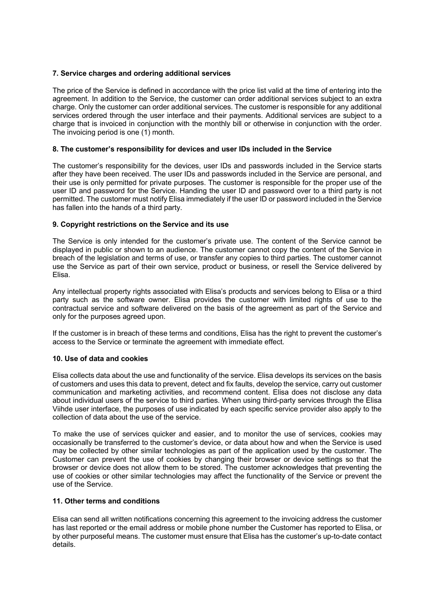# **7. Service charges and ordering additional services**

The price of the Service is defined in accordance with the price list valid at the time of entering into the agreement. In addition to the Service, the customer can order additional services subject to an extra charge. Only the customer can order additional services. The customer is responsible for any additional services ordered through the user interface and their payments. Additional services are subject to a charge that is invoiced in conjunction with the monthly bill or otherwise in conjunction with the order. The invoicing period is one (1) month.

### **8. The customer's responsibility for devices and user IDs included in the Service**

The customer's responsibility for the devices, user IDs and passwords included in the Service starts after they have been received. The user IDs and passwords included in the Service are personal, and their use is only permitted for private purposes. The customer is responsible for the proper use of the user ID and password for the Service. Handing the user ID and password over to a third party is not permitted. The customer must notify Elisa immediately if the user ID or password included in the Service has fallen into the hands of a third party.

# **9. Copyright restrictions on the Service and its use**

The Service is only intended for the customer's private use. The content of the Service cannot be displayed in public or shown to an audience. The customer cannot copy the content of the Service in breach of the legislation and terms of use, or transfer any copies to third parties. The customer cannot use the Service as part of their own service, product or business, or resell the Service delivered by Elisa.

Any intellectual property rights associated with Elisa's products and services belong to Elisa or a third party such as the software owner. Elisa provides the customer with limited rights of use to the contractual service and software delivered on the basis of the agreement as part of the Service and only for the purposes agreed upon.

If the customer is in breach of these terms and conditions, Elisa has the right to prevent the customer's access to the Service or terminate the agreement with immediate effect.

### **10. Use of data and cookies**

Elisa collects data about the use and functionality of the service. Elisa develops its services on the basis of customers and uses this data to prevent, detect and fix faults, develop the service, carry out customer communication and marketing activities, and recommend content. Elisa does not disclose any data about individual users of the service to third parties. When using third-party services through the Elisa Viihde user interface, the purposes of use indicated by each specific service provider also apply to the collection of data about the use of the service.

To make the use of services quicker and easier, and to monitor the use of services, cookies may occasionally be transferred to the customer's device, or data about how and when the Service is used may be collected by other similar technologies as part of the application used by the customer. The Customer can prevent the use of cookies by changing their browser or device settings so that the browser or device does not allow them to be stored. The customer acknowledges that preventing the use of cookies or other similar technologies may affect the functionality of the Service or prevent the use of the Service.

### **11. Other terms and conditions**

Elisa can send all written notifications concerning this agreement to the invoicing address the customer has last reported or the email address or mobile phone number the Customer has reported to Elisa, or by other purposeful means. The customer must ensure that Elisa has the customer's up-to-date contact details.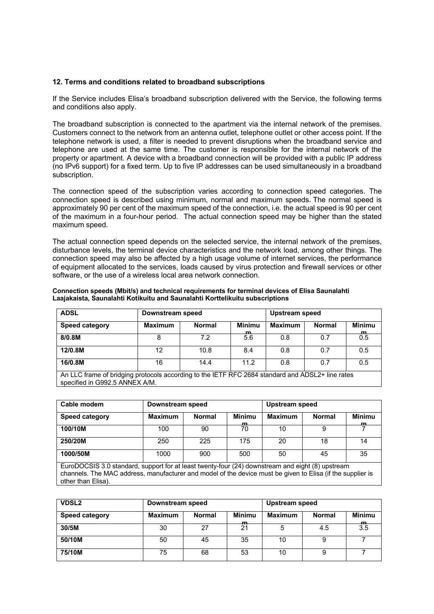# **12. Terms and conditions related to broadband subscriptions**

If the Service includes Elisa's broadband subscription delivered with the Service, the following terms and conditions also apply.

The broadband subscription is connected to the apartment via the internal network of the premises. Customers connect to the network from an antenna outlet, telephone outlet or other access point. If the telephone network is used, a filter is needed to prevent disruptions when the broadband service and telephone are used at the same time. The customer is responsible for the internal network of the property or apartment. A device with a broadband connection will be provided with a public IP address (no IPv6 support) for a fixed term. Up to five IP addresses can be used simultaneously in a broadband subscription.

The connection speed of the subscription varies according to connection speed categories. The connection speed is described using minimum, normal and maximum speeds. The normal speed is approximately 90 per cent of the maximum speed of the connection, i.e. the actual speed is 90 per cent of the maximum in a four-hour period. The actual connection speed may be higher than the stated maximum speed.

The actual connection speed depends on the selected service, the internal network of the premises, disturbance levels, the terminal device characteristics and the network load, among other things. The connection speed may also be affected by a high usage volume of internet services, the performance of equipment allocated to the services, loads caused by virus protection and firewall services or other software, or the use of a wireless local area network connection.

| <b>ADSL</b>                                                                                                                        | Downstream speed |               |                    | Upstream speed |               |                    |
|------------------------------------------------------------------------------------------------------------------------------------|------------------|---------------|--------------------|----------------|---------------|--------------------|
| <b>Speed category</b>                                                                                                              | <b>Maximum</b>   | <b>Normal</b> | <b>Minimu</b><br>m | <b>Maximum</b> | <b>Normal</b> | <b>Minimu</b><br>m |
| 8/0.8M                                                                                                                             | 8                | 7.2           | 5.6                | 0.8            | 0.7           | 0.5                |
| 12/0.8M                                                                                                                            | 12               | 10.8          | 8.4                | 0.8            | 0.7           | 0.5                |
| 16/0.8M                                                                                                                            | 16               | 14.4          | 11.2               | 0.8            | 0.7           | 0.5                |
| An LLC frame of bridging protocols according to the IETF RFC 2684 standard and ADSL2+ line rates<br>specified in G992.5 ANNEX A/M. |                  |               |                    |                |               |                    |

**Connection speeds (Mbit/s) and technical requirements for terminal devices of Elisa Saunalahti Laajakaista, Saunalahti Kotikuitu and Saunalahti Korttelikuitu subscriptions**

| Cable modem           | Downstream speed |        |                    | Upstream speed |               |              |  |
|-----------------------|------------------|--------|--------------------|----------------|---------------|--------------|--|
| <b>Speed category</b> | <b>Maximum</b>   | Normal | <b>Minimu</b><br>m | Maximum        | <b>Normal</b> | Minimu<br>m. |  |
| 100/10M               | 100              | 90     | 70                 | 10             |               |              |  |
| 250/20M               | 250              | 225    | 175                | 20             | 18            | 14           |  |
| 1000/50M              | 1000             | 900    | 500                | 50             | 45            | 35           |  |

EuroDOCSIS 3.0 standard, support for at least twenty-four (24) downstream and eight (8) upstream channels. The MAC address, manufacturer and model of the device must be given to Elisa (if the supplier is other than Elisa).

| <b>VDSL2</b>          | Downstream speed |               |                    | Upstream speed |               |                     |
|-----------------------|------------------|---------------|--------------------|----------------|---------------|---------------------|
| <b>Speed category</b> | <b>Maximum</b>   | <b>Normal</b> | <b>Minimu</b><br>m | <b>Maximum</b> | <b>Normal</b> | <b>Minimu</b><br>m. |
| 30/5M                 | 30               | 27            | 21                 | 5              | 4.5           | 3.5                 |
| 50/10M                | 50               | 45            | 35                 | 10             | 9             |                     |
| 75/10M                | 75               | 68            | 53                 | 10             | 9             |                     |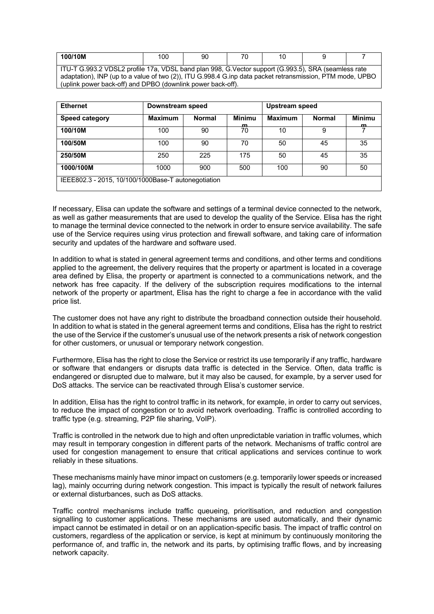| 100/10M                                                                                                   | 100 | 90 | 70 | 10 |  |  |  |
|-----------------------------------------------------------------------------------------------------------|-----|----|----|----|--|--|--|
| l ITU-T G.993.2 VDSL2 profile 17a, VDSL band plan 998, G.Vector support (G.993.5), SRA (seamless rate     |     |    |    |    |  |  |  |
| adaptation), INP (up to a value of two (2)), ITU G.998.4 G.inp data packet retransmission, PTM mode, UPBO |     |    |    |    |  |  |  |
| (uplink power back-off) and DPBO (downlink power back-off).                                               |     |    |    |    |  |  |  |

| <b>Ethernet</b>                                     | Downstream speed |               |                     | Upstream speed |               |                    |
|-----------------------------------------------------|------------------|---------------|---------------------|----------------|---------------|--------------------|
| <b>Speed category</b>                               | <b>Maximum</b>   | <b>Normal</b> | <b>Minimu</b><br>m. | <b>Maximum</b> | <b>Normal</b> | <b>Minimu</b><br>m |
| 100/10M                                             | 100              | 90            | 70                  | 10             | 9             |                    |
| 100/50M                                             | 100              | 90            | 70                  | 50             | 45            | 35                 |
| 250/50M                                             | 250              | 225           | 175                 | 50             | 45            | 35                 |
| 1000/100M                                           | 1000             | 900           | 500                 | 100            | 90            | 50                 |
| IEEE802.3 - 2015, 10/100/1000Base-T autonegotiation |                  |               |                     |                |               |                    |

If necessary, Elisa can update the software and settings of a terminal device connected to the network, as well as gather measurements that are used to develop the quality of the Service. Elisa has the right to manage the terminal device connected to the network in order to ensure service availability. The safe use of the Service requires using virus protection and firewall software, and taking care of information security and updates of the hardware and software used.

In addition to what is stated in general agreement terms and conditions, and other terms and conditions applied to the agreement, the delivery requires that the property or apartment is located in a coverage area defined by Elisa, the property or apartment is connected to a communications network, and the network has free capacity. If the delivery of the subscription requires modifications to the internal network of the property or apartment, Elisa has the right to charge a fee in accordance with the valid price list.

The customer does not have any right to distribute the broadband connection outside their household. In addition to what is stated in the general agreement terms and conditions, Elisa has the right to restrict the use of the Service if the customer's unusual use of the network presents a risk of network congestion for other customers, or unusual or temporary network congestion.

Furthermore, Elisa has the right to close the Service or restrict its use temporarily if any traffic, hardware or software that endangers or disrupts data traffic is detected in the Service. Often, data traffic is endangered or disrupted due to malware, but it may also be caused, for example, by a server used for DoS attacks. The service can be reactivated through Elisa's customer service.

In addition, Elisa has the right to control traffic in its network, for example, in order to carry out services, to reduce the impact of congestion or to avoid network overloading. Traffic is controlled according to traffic type (e.g. streaming, P2P file sharing, VoIP).

Traffic is controlled in the network due to high and often unpredictable variation in traffic volumes, which may result in temporary congestion in different parts of the network. Mechanisms of traffic control are used for congestion management to ensure that critical applications and services continue to work reliably in these situations.

These mechanisms mainly have minor impact on customers (e.g. temporarily lower speeds or increased lag), mainly occurring during network congestion. This impact is typically the result of network failures or external disturbances, such as DoS attacks.

Traffic control mechanisms include traffic queueing, prioritisation, and reduction and congestion signalling to customer applications. These mechanisms are used automatically, and their dynamic impact cannot be estimated in detail or on an application-specific basis. The impact of traffic control on customers, regardless of the application or service, is kept at minimum by continuously monitoring the performance of, and traffic in, the network and its parts, by optimising traffic flows, and by increasing network capacity.